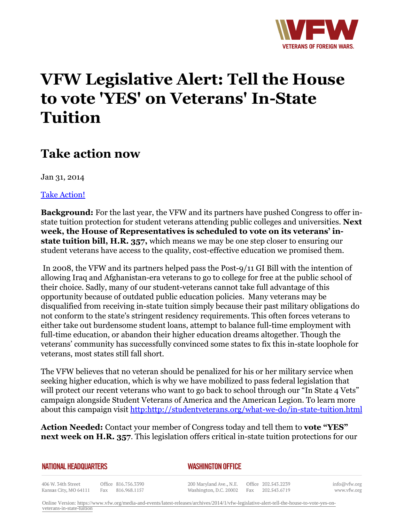

## **VFW Legislative Alert: Tell the House to vote 'YES' on Veterans' In-State Tuition**

## **Take action now**

Jan 31, 2014

[Take Action!](http:http://capwiz.com/vfw/issues/alert/?alertid=63074021&queueid=%5bcapwiz:queue_id%5d)

**Background:** For the last year, the VFW and its partners have pushed Congress to offer instate tuition protection for student veterans attending public colleges and universities. **Next week, the House of Representatives is scheduled to vote on its veterans' instate tuition bill, H.R. 357,** which means we may be one step closer to ensuring our student veterans have access to the quality, cost-effective education we promised them.

 In 2008, the VFW and its partners helped pass the Post-9/11 GI Bill with the intention of allowing Iraq and Afghanistan-era veterans to go to college for free at the public school of their choice. Sadly, many of our student-veterans cannot take full advantage of this opportunity because of outdated public education policies. Many veterans may be disqualified from receiving in-state tuition simply because their past military obligations do not conform to the state's stringent residency requirements. This often forces veterans to either take out burdensome student loans, attempt to balance full-time employment with full-time education, or abandon their higher education dreams altogether. Though the veterans' community has successfully convinced some states to fix this in-state loophole for veterans, most states still fall short.

The VFW believes that no veteran should be penalized for his or her military service when seeking higher education, which is why we have mobilized to pass federal legislation that will protect our recent veterans who want to go back to school through our "In State 4 Vets" campaign alongside Student Veterans of America and the American Legion. To learn more about this campaign visit <http:http://studentveterans.org/what-we-do/in-state-tuition.html>

**Action Needed:** Contact your member of Congress today and tell them to **vote "YES" next week on H.R. 357**. This legislation offers critical in-state tuition protections for our

## **NATIONAL HEADQUARTERS**

*WASHINGTON OFFICE* 

406 W. 34th Street Office 816.756.3390 Fax 816.968.1157 Kansas City, MO 64111

200 Maryland Ave., N.E. Washington, D.C. 20002

Office 202.543.2239 Fax 202.543.6719

info@vfw.org www.vfw.org

Online Version: [https://www.vfw.org/media-and-events/latest-releases/archives/2014/1/vfw-legislative-alert-tell-the-house-to-vote-yes-on](https://www.vfw.org/media-and-events/latest-releases/archives/2014/1/vfw-legislative-alert-tell-the-house-to-vote-yes-on-veterans-in-state-tuition)[veterans-in-state-tuition](https://www.vfw.org/media-and-events/latest-releases/archives/2014/1/vfw-legislative-alert-tell-the-house-to-vote-yes-on-veterans-in-state-tuition)